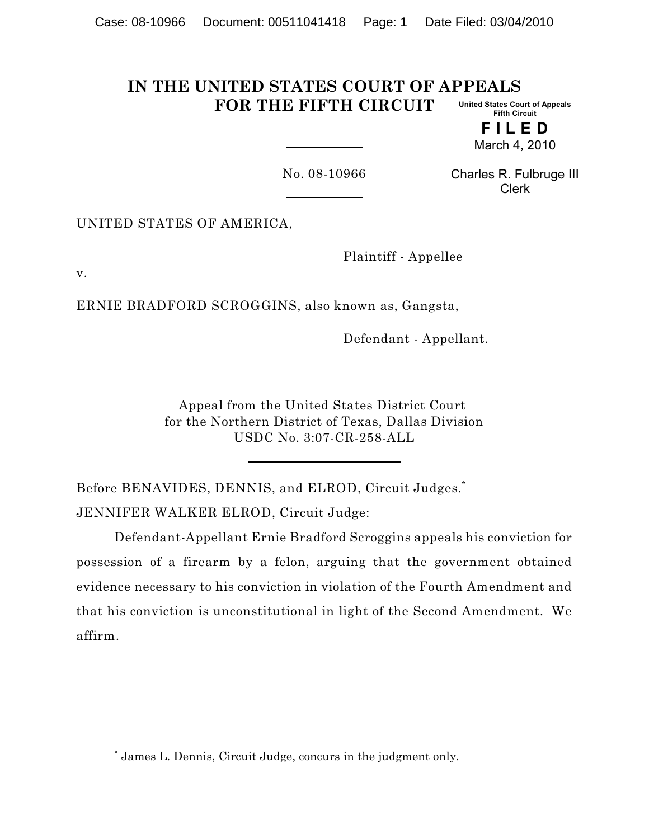#### **IN THE UNITED STATES COURT OF APPEALS FOR THE FIFTH CIRCUIT United States Court of Appeals Fifth Circuit**

**F I L E D** March 4, 2010

No. 08-10966

Charles R. Fulbruge III Clerk

UNITED STATES OF AMERICA,

Plaintiff - Appellee

v.

ERNIE BRADFORD SCROGGINS, also known as, Gangsta,

Defendant - Appellant.

Appeal from the United States District Court for the Northern District of Texas, Dallas Division USDC No. 3:07-CR-258-ALL

Before BENAVIDES, DENNIS, and ELROD, Circuit Judges.<sup>\*</sup> JENNIFER WALKER ELROD, Circuit Judge:

Defendant-Appellant Ernie Bradford Scroggins appeals his conviction for possession of a firearm by a felon, arguing that the government obtained evidence necessary to his conviction in violation of the Fourth Amendment and that his conviction is unconstitutional in light of the Second Amendment. We affirm.

James L. Dennis, Circuit Judge, concurs in the judgment only. \*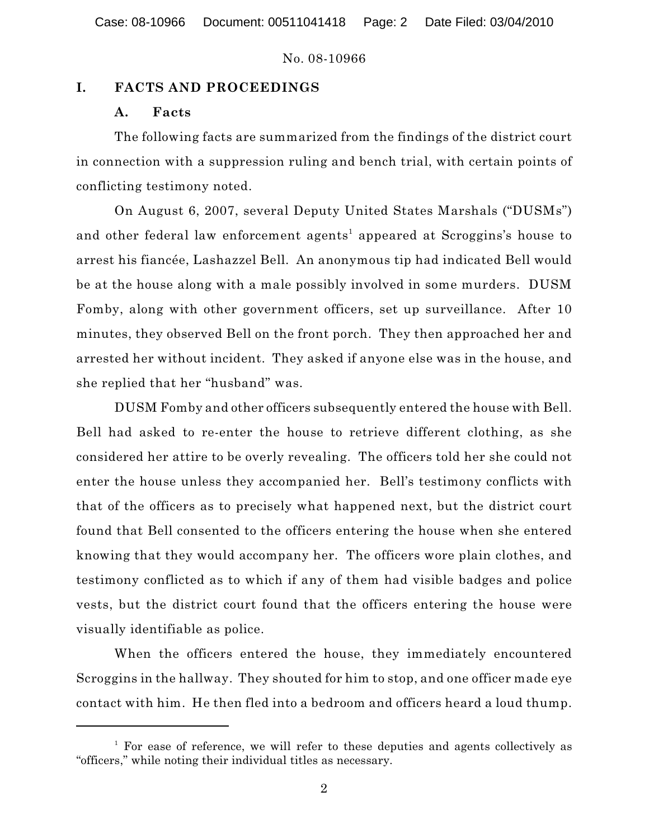### **I. FACTS AND PROCEEDINGS**

### **A. Facts**

The following facts are summarized from the findings of the district court in connection with a suppression ruling and bench trial, with certain points of conflicting testimony noted.

On August 6, 2007, several Deputy United States Marshals ("DUSMs") and other federal law enforcement agents<sup>1</sup> appeared at Scroggins's house to arrest his fiancée, Lashazzel Bell. An anonymous tip had indicated Bell would be at the house along with a male possibly involved in some murders. DUSM Fomby, along with other government officers, set up surveillance. After 10 minutes, they observed Bell on the front porch. They then approached her and arrested her without incident. They asked if anyone else was in the house, and she replied that her "husband" was.

DUSM Fomby and other officers subsequently entered the house with Bell. Bell had asked to re-enter the house to retrieve different clothing, as she considered her attire to be overly revealing. The officers told her she could not enter the house unless they accompanied her. Bell's testimony conflicts with that of the officers as to precisely what happened next, but the district court found that Bell consented to the officers entering the house when she entered knowing that they would accompany her. The officers wore plain clothes, and testimony conflicted as to which if any of them had visible badges and police vests, but the district court found that the officers entering the house were visually identifiable as police.

When the officers entered the house, they immediately encountered Scroggins in the hallway. They shouted for him to stop, and one officer made eye contact with him. He then fled into a bedroom and officers heard a loud thump.

 $<sup>1</sup>$  For ease of reference, we will refer to these deputies and agents collectively as</sup> "officers," while noting their individual titles as necessary.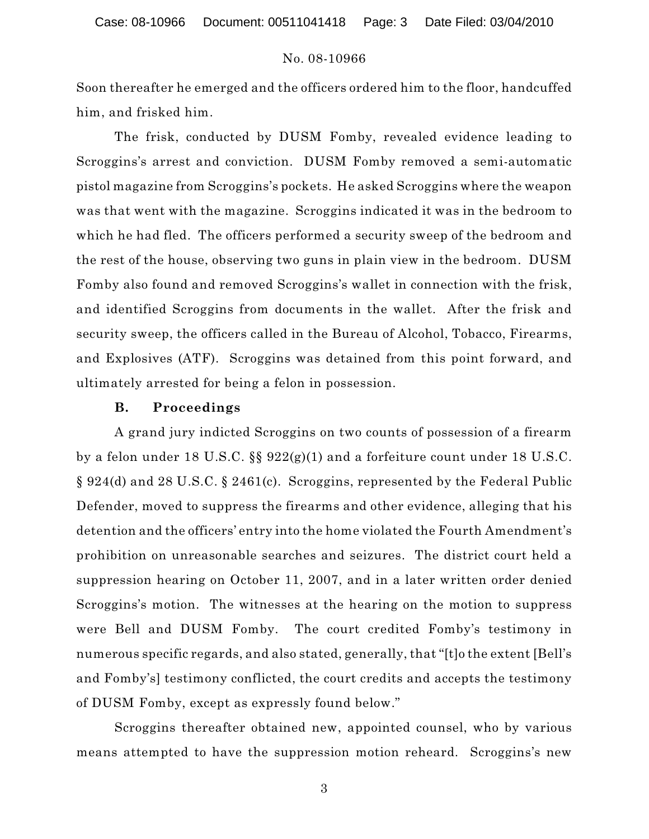Soon thereafter he emerged and the officers ordered him to the floor, handcuffed him, and frisked him.

The frisk, conducted by DUSM Fomby, revealed evidence leading to Scroggins's arrest and conviction. DUSM Fomby removed a semi-automatic pistol magazine from Scroggins's pockets. He asked Scroggins where the weapon was that went with the magazine. Scroggins indicated it was in the bedroom to which he had fled. The officers performed a security sweep of the bedroom and the rest of the house, observing two guns in plain view in the bedroom. DUSM Fomby also found and removed Scroggins's wallet in connection with the frisk, and identified Scroggins from documents in the wallet. After the frisk and security sweep, the officers called in the Bureau of Alcohol, Tobacco, Firearms, and Explosives (ATF). Scroggins was detained from this point forward, and ultimately arrested for being a felon in possession.

#### **B. Proceedings**

A grand jury indicted Scroggins on two counts of possession of a firearm by a felon under 18 U.S.C. §§ 922(g)(1) and a forfeiture count under 18 U.S.C. § 924(d) and 28 U.S.C. § 2461(c). Scroggins, represented by the Federal Public Defender, moved to suppress the firearms and other evidence, alleging that his detention and the officers' entry into the home violated the Fourth Amendment's prohibition on unreasonable searches and seizures. The district court held a suppression hearing on October 11, 2007, and in a later written order denied Scroggins's motion. The witnesses at the hearing on the motion to suppress were Bell and DUSM Fomby. The court credited Fomby's testimony in numerous specific regards, and also stated, generally, that "[t]o the extent [Bell's and Fomby's] testimony conflicted, the court credits and accepts the testimony of DUSM Fomby, except as expressly found below."

Scroggins thereafter obtained new, appointed counsel, who by various means attempted to have the suppression motion reheard. Scroggins's new

3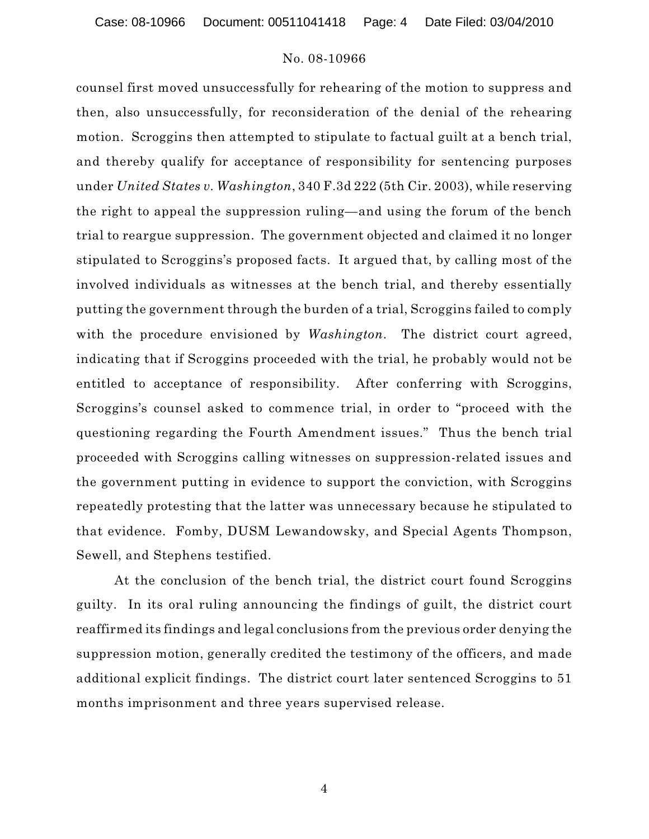counsel first moved unsuccessfully for rehearing of the motion to suppress and then, also unsuccessfully, for reconsideration of the denial of the rehearing motion. Scroggins then attempted to stipulate to factual guilt at a bench trial, and thereby qualify for acceptance of responsibility for sentencing purposes under *United States v. Washington*, 340 F.3d 222 (5th Cir. 2003), while reserving the right to appeal the suppression ruling—and using the forum of the bench trial to reargue suppression. The government objected and claimed it no longer stipulated to Scroggins's proposed facts. It argued that, by calling most of the involved individuals as witnesses at the bench trial, and thereby essentially putting the government through the burden of a trial, Scroggins failed to comply with the procedure envisioned by *Washington*. The district court agreed, indicating that if Scroggins proceeded with the trial, he probably would not be entitled to acceptance of responsibility. After conferring with Scroggins, Scroggins's counsel asked to commence trial, in order to "proceed with the questioning regarding the Fourth Amendment issues." Thus the bench trial proceeded with Scroggins calling witnesses on suppression-related issues and the government putting in evidence to support the conviction, with Scroggins repeatedly protesting that the latter was unnecessary because he stipulated to that evidence. Fomby, DUSM Lewandowsky, and Special Agents Thompson, Sewell, and Stephens testified.

At the conclusion of the bench trial, the district court found Scroggins guilty. In its oral ruling announcing the findings of guilt, the district court reaffirmed its findings and legal conclusions from the previous order denying the suppression motion, generally credited the testimony of the officers, and made additional explicit findings. The district court later sentenced Scroggins to 51 months imprisonment and three years supervised release.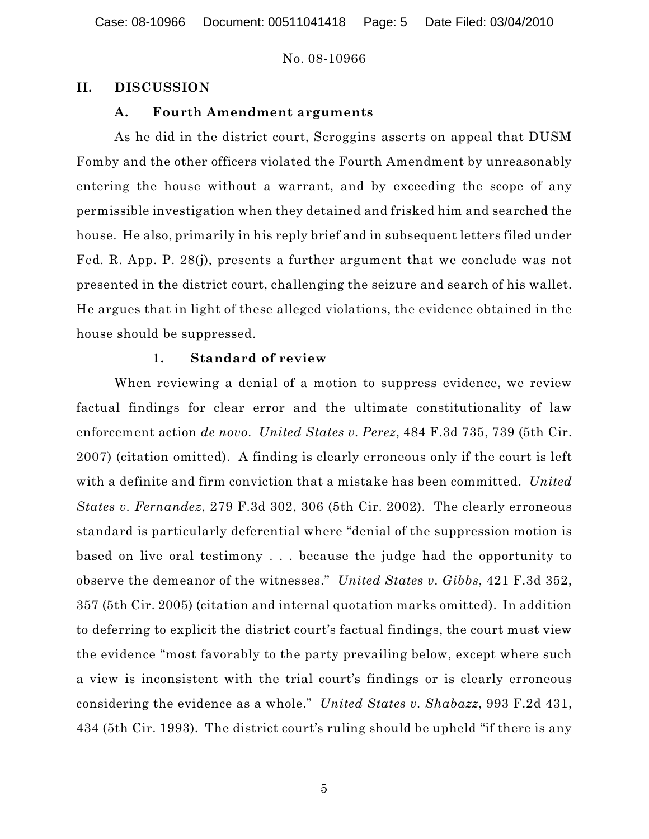Case: 08-10966 Document: 00511041418 Page: 5 Date Filed: 03/04/2010

#### No. 08-10966

#### **II. DISCUSSION**

### **A. Fourth Amendment arguments**

As he did in the district court, Scroggins asserts on appeal that DUSM Fomby and the other officers violated the Fourth Amendment by unreasonably entering the house without a warrant, and by exceeding the scope of any permissible investigation when they detained and frisked him and searched the house. He also, primarily in his reply brief and in subsequent letters filed under Fed. R. App. P. 28(j), presents a further argument that we conclude was not presented in the district court, challenging the seizure and search of his wallet. He argues that in light of these alleged violations, the evidence obtained in the house should be suppressed.

#### **1. Standard of review**

When reviewing a denial of a motion to suppress evidence, we review factual findings for clear error and the ultimate constitutionality of law enforcement action *de novo*. *United States v. Perez*, 484 F.3d 735, 739 (5th Cir. 2007) (citation omitted). A finding is clearly erroneous only if the court is left with a definite and firm conviction that a mistake has been committed. *United States v. Fernandez*, 279 F.3d 302, 306 (5th Cir. 2002). The clearly erroneous standard is particularly deferential where "denial of the suppression motion is based on live oral testimony . . . because the judge had the opportunity to observe the demeanor of the witnesses." *United States v. Gibbs*, 421 F.3d 352, 357 (5th Cir. 2005) (citation and internal quotation marks omitted). In addition to deferring to explicit the district court's factual findings, the court must view the evidence "most favorably to the party prevailing below, except where such a view is inconsistent with the trial court's findings or is clearly erroneous considering the evidence as a whole." *United States v. Shabazz*, 993 F.2d 431, 434 (5th Cir. 1993). The district court's ruling should be upheld "if there is any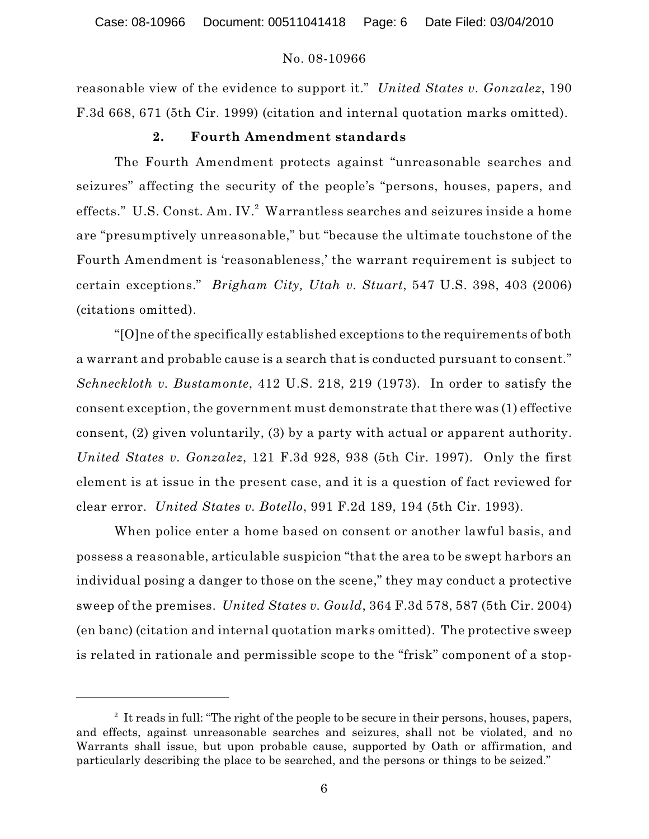reasonable view of the evidence to support it." *United States v. Gonzalez*, 190 F.3d 668, 671 (5th Cir. 1999) (citation and internal quotation marks omitted).

#### **2. Fourth Amendment standards**

The Fourth Amendment protects against "unreasonable searches and seizures" affecting the security of the people's "persons, houses, papers, and effects." U.S. Const. Am. IV. $2$  Warrantless searches and seizures inside a home are "presumptively unreasonable," but "because the ultimate touchstone of the Fourth Amendment is 'reasonableness,' the warrant requirement is subject to certain exceptions." *Brigham City, Utah v. Stuart*, 547 U.S. 398, 403 (2006) (citations omitted).

"[O]ne of the specifically established exceptions to the requirements of both a warrant and probable cause is a search that is conducted pursuant to consent." *Schneckloth v. Bustamonte*, 412 U.S. 218, 219 (1973). In order to satisfy the consent exception, the government must demonstrate that there was (1) effective consent, (2) given voluntarily, (3) by a party with actual or apparent authority. *United States v. Gonzalez*, 121 F.3d 928, 938 (5th Cir. 1997). Only the first element is at issue in the present case, and it is a question of fact reviewed for clear error. *United States v. Botello*, 991 F.2d 189, 194 (5th Cir. 1993).

When police enter a home based on consent or another lawful basis, and possess a reasonable, articulable suspicion "that the area to be swept harbors an individual posing a danger to those on the scene," they may conduct a protective sweep of the premises. *United States v. Gould*, 364 F.3d 578, 587 (5th Cir. 2004) (en banc) (citation and internal quotation marks omitted). The protective sweep is related in rationale and permissible scope to the "frisk" component of a stop-

 $2$  It reads in full: "The right of the people to be secure in their persons, houses, papers, and effects, against unreasonable searches and seizures, shall not be violated, and no Warrants shall issue, but upon probable cause, supported by Oath or affirmation, and particularly describing the place to be searched, and the persons or things to be seized."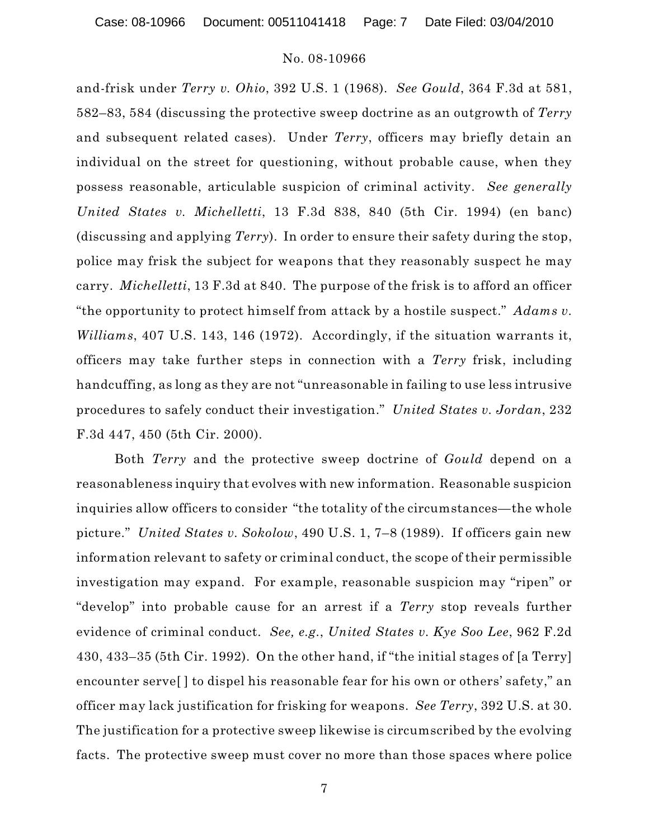Case: 08-10966 Document: 00511041418 Page: 7 Date Filed: 03/04/2010

#### No. 08-10966

and-frisk under *Terry v. Ohio*, 392 U.S. 1 (1968). *See Gould*, 364 F.3d at 581, 582–83, 584 (discussing the protective sweep doctrine as an outgrowth of *Terry* and subsequent related cases). Under *Terry*, officers may briefly detain an individual on the street for questioning, without probable cause, when they possess reasonable, articulable suspicion of criminal activity. *See generally United States v. Michelletti*, 13 F.3d 838, 840 (5th Cir. 1994) (en banc) (discussing and applying *Terry*). In order to ensure their safety during the stop, police may frisk the subject for weapons that they reasonably suspect he may carry. *Michelletti*, 13 F.3d at 840. The purpose of the frisk is to afford an officer "the opportunity to protect himself from attack by a hostile suspect." *Adams v. Williams*, 407 U.S. 143, 146 (1972). Accordingly, if the situation warrants it, officers may take further steps in connection with a *Terry* frisk, including handcuffing, as long as they are not "unreasonable in failing to use less intrusive procedures to safely conduct their investigation." *United States v. Jordan*, 232 F.3d 447, 450 (5th Cir. 2000).

Both *Terry* and the protective sweep doctrine of *Gould* depend on a reasonableness inquiry that evolves with new information. Reasonable suspicion inquiries allow officers to consider "the totality of the circumstances—the whole picture." *United States v. Sokolow*, 490 U.S. 1, 7–8 (1989). If officers gain new information relevant to safety or criminal conduct, the scope of their permissible investigation may expand. For example, reasonable suspicion may "ripen" or "develop" into probable cause for an arrest if a *Terry* stop reveals further evidence of criminal conduct. *See, e.g.*, *United States v. Kye Soo Lee*, 962 F.2d 430, 433–35 (5th Cir. 1992). On the other hand, if "the initial stages of [a Terry] encounter serve[ ] to dispel his reasonable fear for his own or others' safety," an officer may lack justification for frisking for weapons. *See Terry*, 392 U.S. at 30. The justification for a protective sweep likewise is circumscribed by the evolving facts. The protective sweep must cover no more than those spaces where police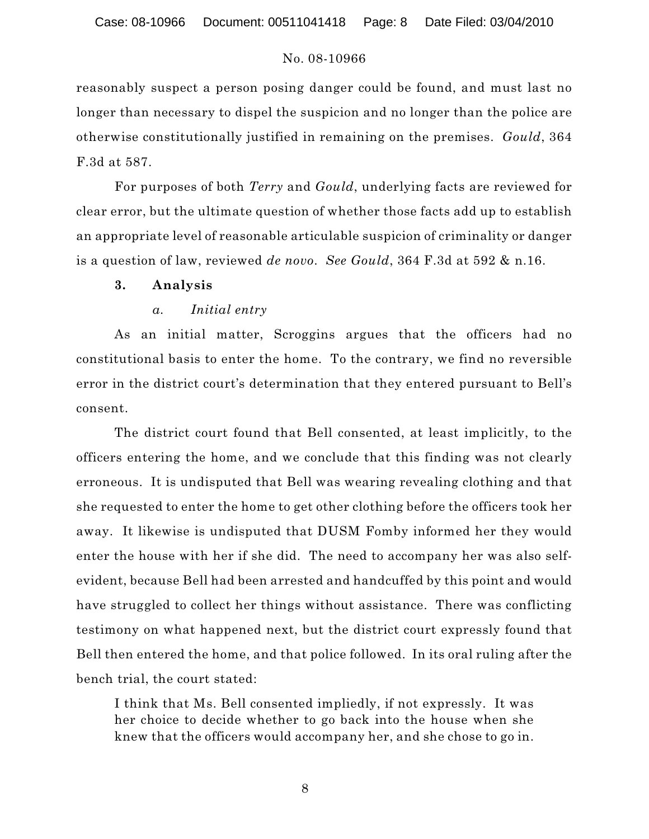reasonably suspect a person posing danger could be found, and must last no longer than necessary to dispel the suspicion and no longer than the police are otherwise constitutionally justified in remaining on the premises. *Gould*, 364 F.3d at 587.

For purposes of both *Terry* and *Gould*, underlying facts are reviewed for clear error, but the ultimate question of whether those facts add up to establish an appropriate level of reasonable articulable suspicion of criminality or danger is a question of law, reviewed *de novo*. *See Gould*, 364 F.3d at 592 & n.16.

### **3. Analysis**

## *a. Initial entry*

As an initial matter, Scroggins argues that the officers had no constitutional basis to enter the home. To the contrary, we find no reversible error in the district court's determination that they entered pursuant to Bell's consent.

The district court found that Bell consented, at least implicitly, to the officers entering the home, and we conclude that this finding was not clearly erroneous. It is undisputed that Bell was wearing revealing clothing and that she requested to enter the home to get other clothing before the officers took her away. It likewise is undisputed that DUSM Fomby informed her they would enter the house with her if she did. The need to accompany her was also selfevident, because Bell had been arrested and handcuffed by this point and would have struggled to collect her things without assistance. There was conflicting testimony on what happened next, but the district court expressly found that Bell then entered the home, and that police followed. In its oral ruling after the bench trial, the court stated:

I think that Ms. Bell consented impliedly, if not expressly. It was her choice to decide whether to go back into the house when she knew that the officers would accompany her, and she chose to go in.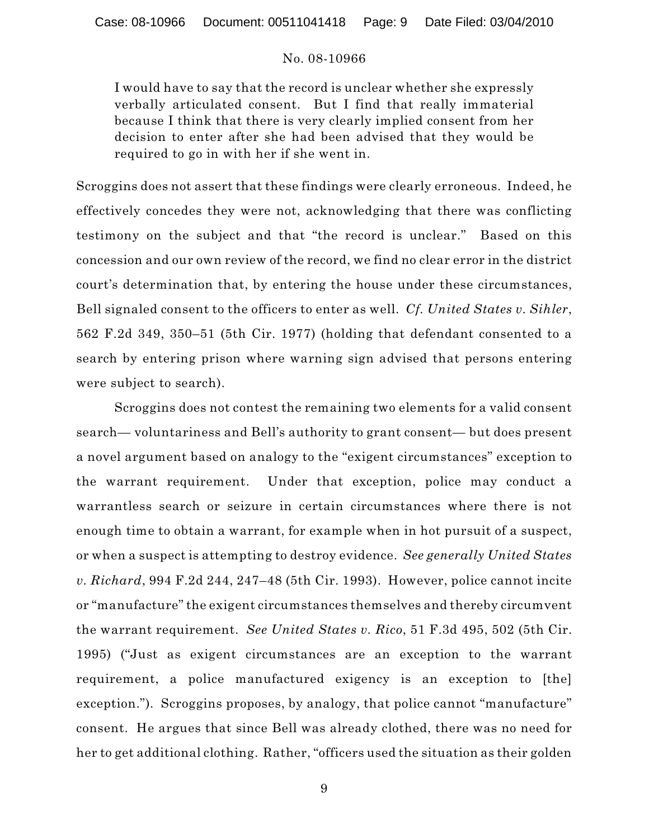I would have to say that the record is unclear whether she expressly verbally articulated consent. But I find that really immaterial because I think that there is very clearly implied consent from her decision to enter after she had been advised that they would be required to go in with her if she went in.

Scroggins does not assert that these findings were clearly erroneous. Indeed, he effectively concedes they were not, acknowledging that there was conflicting testimony on the subject and that "the record is unclear." Based on this concession and our own review of the record, we find no clear error in the district court's determination that, by entering the house under these circumstances, Bell signaled consent to the officers to enter as well. *Cf. United States v. Sihler*, 562 F.2d 349, 350–51 (5th Cir. 1977) (holding that defendant consented to a search by entering prison where warning sign advised that persons entering were subject to search).

Scroggins does not contest the remaining two elements for a valid consent search— voluntariness and Bell's authority to grant consent— but does present a novel argument based on analogy to the "exigent circumstances" exception to the warrant requirement. Under that exception, police may conduct a warrantless search or seizure in certain circumstances where there is not enough time to obtain a warrant, for example when in hot pursuit of a suspect, or when a suspect is attempting to destroy evidence. *See generally United States v. Richard*, 994 F.2d 244, 247–48 (5th Cir. 1993). However, police cannot incite or "manufacture" the exigent circumstances themselves and thereby circumvent the warrant requirement. *See United States v. Rico*, 51 F.3d 495, 502 (5th Cir. 1995) ("Just as exigent circumstances are an exception to the warrant requirement, a police manufactured exigency is an exception to [the] exception."). Scroggins proposes, by analogy, that police cannot "manufacture" consent. He argues that since Bell was already clothed, there was no need for her to get additional clothing. Rather, "officers used the situation as their golden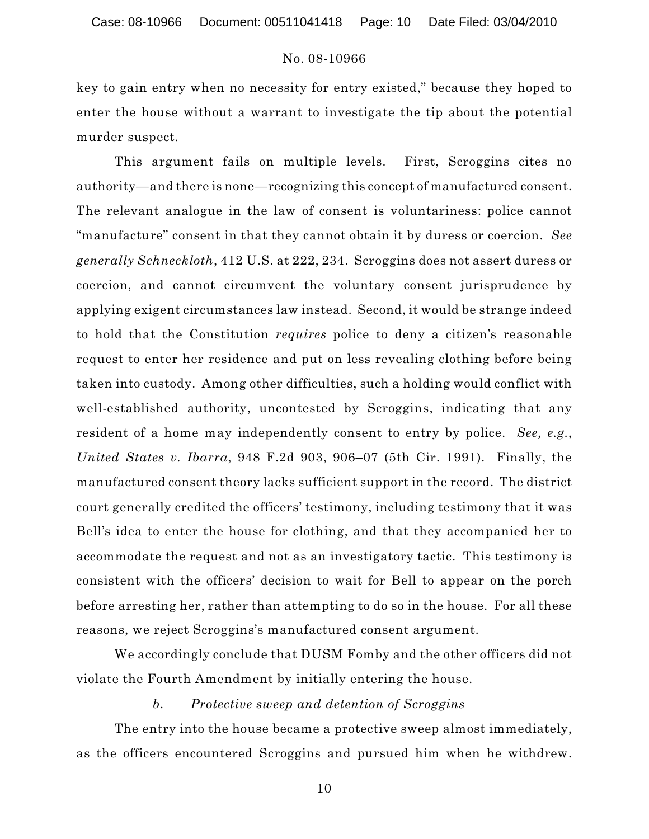key to gain entry when no necessity for entry existed," because they hoped to enter the house without a warrant to investigate the tip about the potential murder suspect.

This argument fails on multiple levels. First, Scroggins cites no authority—and there is none—recognizing this concept of manufactured consent. The relevant analogue in the law of consent is voluntariness: police cannot "manufacture" consent in that they cannot obtain it by duress or coercion. *See generally Schneckloth*, 412 U.S. at 222, 234. Scroggins does not assert duress or coercion, and cannot circumvent the voluntary consent jurisprudence by applying exigent circumstances law instead. Second, it would be strange indeed to hold that the Constitution *requires* police to deny a citizen's reasonable request to enter her residence and put on less revealing clothing before being taken into custody. Among other difficulties, such a holding would conflict with well-established authority, uncontested by Scroggins, indicating that any resident of a home may independently consent to entry by police. *See, e.g.*, *United States v. Ibarra*, 948 F.2d 903, 906–07 (5th Cir. 1991). Finally, the manufactured consent theory lacks sufficient support in the record. The district court generally credited the officers' testimony, including testimony that it was Bell's idea to enter the house for clothing, and that they accompanied her to accommodate the request and not as an investigatory tactic. This testimony is consistent with the officers' decision to wait for Bell to appear on the porch before arresting her, rather than attempting to do so in the house. For all these reasons, we reject Scroggins's manufactured consent argument.

We accordingly conclude that DUSM Fomby and the other officers did not violate the Fourth Amendment by initially entering the house.

#### *b. Protective sweep and detention of Scroggins*

The entry into the house became a protective sweep almost immediately, as the officers encountered Scroggins and pursued him when he withdrew.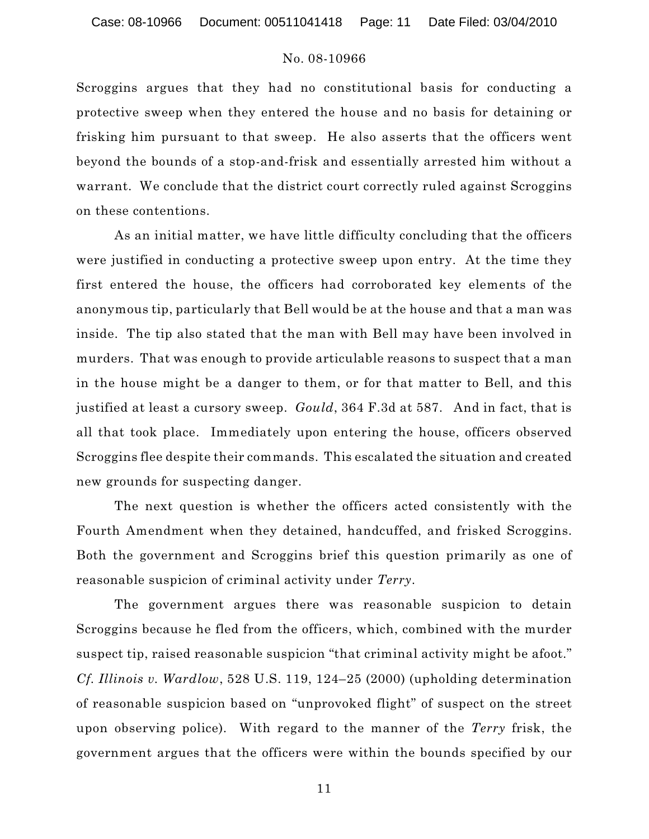Case: 08-10966 Document: 00511041418 Page: 11 Date Filed: 03/04/2010

### No. 08-10966

Scroggins argues that they had no constitutional basis for conducting a protective sweep when they entered the house and no basis for detaining or frisking him pursuant to that sweep. He also asserts that the officers went beyond the bounds of a stop-and-frisk and essentially arrested him without a warrant. We conclude that the district court correctly ruled against Scroggins on these contentions.

As an initial matter, we have little difficulty concluding that the officers were justified in conducting a protective sweep upon entry. At the time they first entered the house, the officers had corroborated key elements of the anonymous tip, particularly that Bell would be at the house and that a man was inside. The tip also stated that the man with Bell may have been involved in murders. That was enough to provide articulable reasons to suspect that a man in the house might be a danger to them, or for that matter to Bell, and this justified at least a cursory sweep. *Gould*, 364 F.3d at 587. And in fact, that is all that took place. Immediately upon entering the house, officers observed Scroggins flee despite their commands. This escalated the situation and created new grounds for suspecting danger.

The next question is whether the officers acted consistently with the Fourth Amendment when they detained, handcuffed, and frisked Scroggins. Both the government and Scroggins brief this question primarily as one of reasonable suspicion of criminal activity under *Terry*.

The government argues there was reasonable suspicion to detain Scroggins because he fled from the officers, which, combined with the murder suspect tip, raised reasonable suspicion "that criminal activity might be afoot." *Cf. Illinois v. Wardlow*, 528 U.S. 119, 124–25 (2000) (upholding determination of reasonable suspicion based on "unprovoked flight" of suspect on the street upon observing police). With regard to the manner of the *Terry* frisk, the government argues that the officers were within the bounds specified by our

11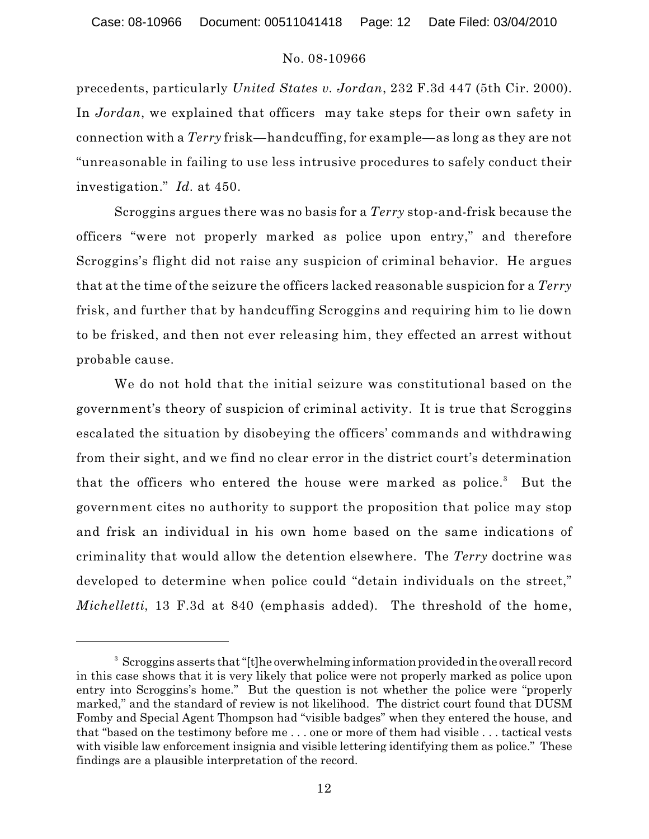Case: 08-10966 Document: 00511041418 Page: 12 Date Filed: 03/04/2010

### No. 08-10966

precedents, particularly *United States v. Jordan*, 232 F.3d 447 (5th Cir. 2000). In *Jordan*, we explained that officers may take steps for their own safety in connection with a *Terry* frisk—handcuffing, for example—as long as they are not "unreasonable in failing to use less intrusive procedures to safely conduct their investigation." *Id.* at 450.

Scroggins argues there was no basis for a *Terry* stop-and-frisk because the officers "were not properly marked as police upon entry," and therefore Scroggins's flight did not raise any suspicion of criminal behavior. He argues that at the time of the seizure the officers lacked reasonable suspicion for a *Terry* frisk, and further that by handcuffing Scroggins and requiring him to lie down to be frisked, and then not ever releasing him, they effected an arrest without probable cause.

We do not hold that the initial seizure was constitutional based on the government's theory of suspicion of criminal activity. It is true that Scroggins escalated the situation by disobeying the officers' commands and withdrawing from their sight, and we find no clear error in the district court's determination that the officers who entered the house were marked as police.<sup>3</sup> But the government cites no authority to support the proposition that police may stop and frisk an individual in his own home based on the same indications of criminality that would allow the detention elsewhere. The *Terry* doctrine was developed to determine when police could "detain individuals on the street," *Michelletti*, 13 F.3d at 840 (emphasis added). The threshold of the home,

<sup>&</sup>lt;sup>3</sup> Scroggins asserts that "[t]he overwhelming information provided in the overall record in this case shows that it is very likely that police were not properly marked as police upon entry into Scroggins's home." But the question is not whether the police were "properly marked," and the standard of review is not likelihood. The district court found that DUSM Fomby and Special Agent Thompson had "visible badges" when they entered the house, and that "based on the testimony before me . . . one or more of them had visible . . . tactical vests with visible law enforcement insignia and visible lettering identifying them as police." These findings are a plausible interpretation of the record.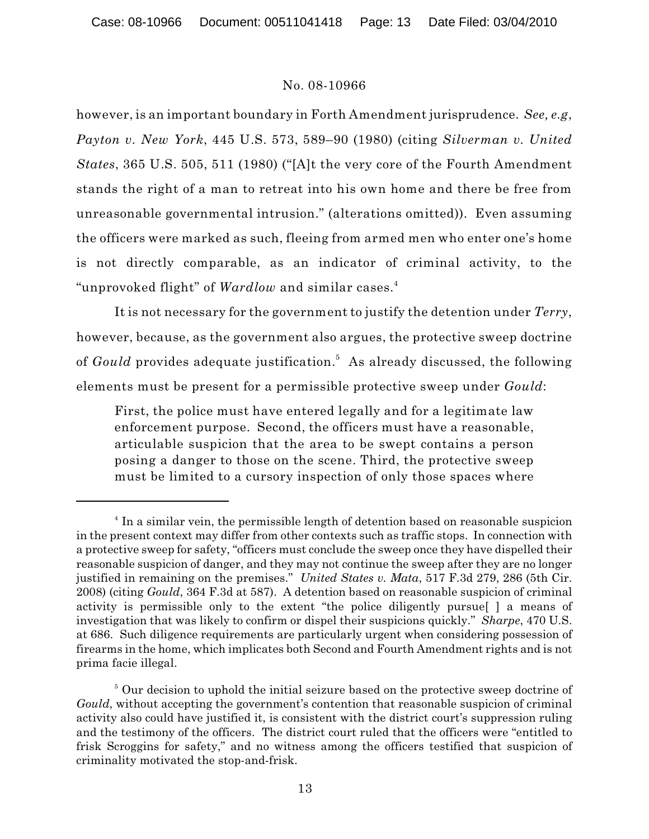however, is an important boundary in Forth Amendment jurisprudence. *See, e.g*, *Payton v. New York*, 445 U.S. 573, 589–90 (1980) (citing *Silverman v. United States*, 365 U.S. 505, 511 (1980) ("[A]t the very core of the Fourth Amendment stands the right of a man to retreat into his own home and there be free from unreasonable governmental intrusion." (alterations omitted)). Even assuming the officers were marked as such, fleeing from armed men who enter one's home is not directly comparable, as an indicator of criminal activity, to the "unprovoked flight" of *Wardlow* and similar cases. 4

It is not necessary for the government to justify the detention under *Terry*, however, because, as the government also argues, the protective sweep doctrine of *Gould* provides adequate justification.<sup>5</sup> As already discussed, the following elements must be present for a permissible protective sweep under *Gould*:

First, the police must have entered legally and for a legitimate law enforcement purpose. Second, the officers must have a reasonable, articulable suspicion that the area to be swept contains a person posing a danger to those on the scene. Third, the protective sweep must be limited to a cursory inspection of only those spaces where

<sup>&</sup>lt;sup>4</sup> In a similar vein, the permissible length of detention based on reasonable suspicion in the present context may differ from other contexts such as traffic stops. In connection with a protective sweep for safety, "officers must conclude the sweep once they have dispelled their reasonable suspicion of danger, and they may not continue the sweep after they are no longer justified in remaining on the premises." *United States v. Mata*, 517 F.3d 279, 286 (5th Cir. 2008) (citing *Gould*, 364 F.3d at 587). A detention based on reasonable suspicion of criminal activity is permissible only to the extent "the police diligently pursue[ ] a means of investigation that was likely to confirm or dispel their suspicions quickly." *Sharpe*, 470 U.S. at 686. Such diligence requirements are particularly urgent when considering possession of firearms in the home, which implicates both Second and Fourth Amendment rights and is not prima facie illegal.

 $\delta$  Our decision to uphold the initial seizure based on the protective sweep doctrine of *Gould*, without accepting the government's contention that reasonable suspicion of criminal activity also could have justified it, is consistent with the district court's suppression ruling and the testimony of the officers. The district court ruled that the officers were "entitled to frisk Scroggins for safety," and no witness among the officers testified that suspicion of criminality motivated the stop-and-frisk.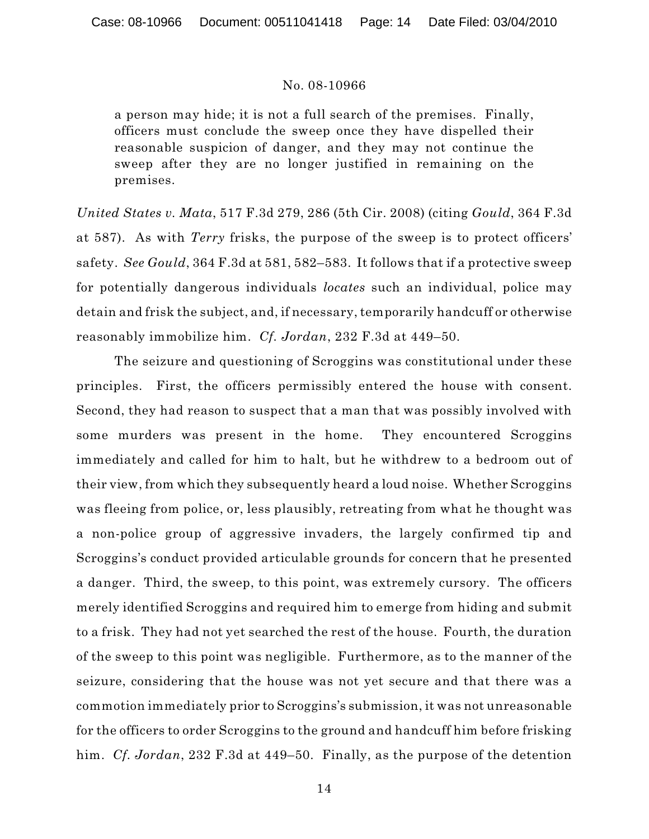a person may hide; it is not a full search of the premises. Finally, officers must conclude the sweep once they have dispelled their reasonable suspicion of danger, and they may not continue the sweep after they are no longer justified in remaining on the premises.

*United States v. Mata*, 517 F.3d 279, 286 (5th Cir. 2008) (citing *Gould*, 364 F.3d at 587). As with *Terry* frisks, the purpose of the sweep is to protect officers' safety. *See Gould*, 364 F.3d at 581, 582–583. It follows that if a protective sweep for potentially dangerous individuals *locates* such an individual, police may detain and frisk the subject, and, if necessary, temporarily handcuff or otherwise reasonably immobilize him. *Cf. Jordan*, 232 F.3d at 449–50.

The seizure and questioning of Scroggins was constitutional under these principles. First, the officers permissibly entered the house with consent. Second, they had reason to suspect that a man that was possibly involved with some murders was present in the home. They encountered Scroggins immediately and called for him to halt, but he withdrew to a bedroom out of their view, from which they subsequently heard a loud noise. Whether Scroggins was fleeing from police, or, less plausibly, retreating from what he thought was a non-police group of aggressive invaders, the largely confirmed tip and Scroggins's conduct provided articulable grounds for concern that he presented a danger. Third, the sweep, to this point, was extremely cursory. The officers merely identified Scroggins and required him to emerge from hiding and submit to a frisk. They had not yet searched the rest of the house. Fourth, the duration of the sweep to this point was negligible. Furthermore, as to the manner of the seizure, considering that the house was not yet secure and that there was a commotion immediately prior to Scroggins's submission, it was not unreasonable for the officers to order Scroggins to the ground and handcuff him before frisking him. *Cf. Jordan*, 232 F.3d at 449–50. Finally, as the purpose of the detention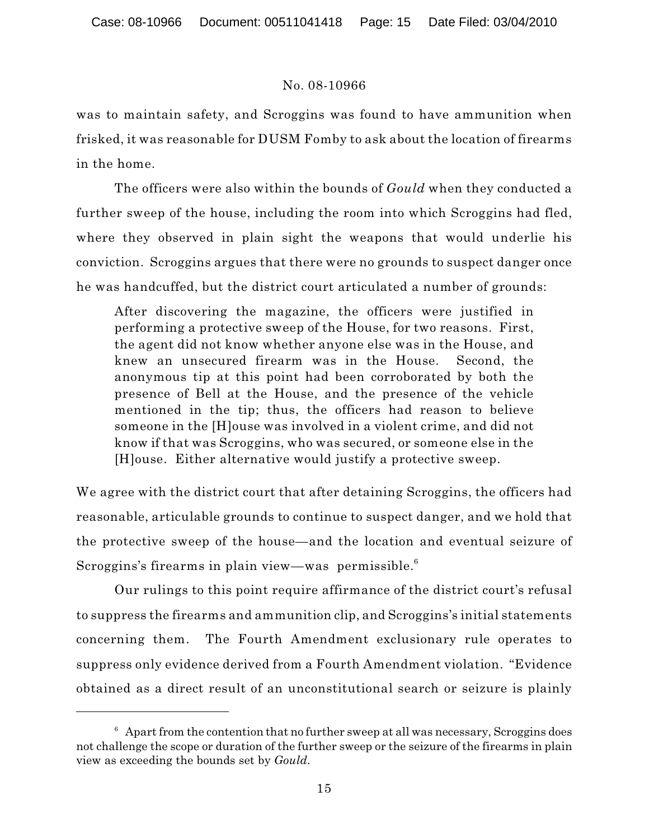was to maintain safety, and Scroggins was found to have ammunition when frisked, it was reasonable for DUSM Fomby to ask about the location of firearms in the home.

The officers were also within the bounds of *Gould* when they conducted a further sweep of the house, including the room into which Scroggins had fled, where they observed in plain sight the weapons that would underlie his conviction. Scroggins argues that there were no grounds to suspect danger once he was handcuffed, but the district court articulated a number of grounds:

After discovering the magazine, the officers were justified in performing a protective sweep of the House, for two reasons. First, the agent did not know whether anyone else was in the House, and knew an unsecured firearm was in the House. Second, the anonymous tip at this point had been corroborated by both the presence of Bell at the House, and the presence of the vehicle mentioned in the tip; thus, the officers had reason to believe someone in the [H]ouse was involved in a violent crime, and did not know if that was Scroggins, who was secured, or someone else in the [H]ouse. Either alternative would justify a protective sweep.

We agree with the district court that after detaining Scroggins, the officers had reasonable, articulable grounds to continue to suspect danger, and we hold that the protective sweep of the house—and the location and eventual seizure of Scroggins's firearms in plain view—was permissible. $6$ 

Our rulings to this point require affirmance of the district court's refusal to suppress the firearms and ammunition clip, and Scroggins's initial statements concerning them. The Fourth Amendment exclusionary rule operates to suppress only evidence derived from a Fourth Amendment violation. "Evidence obtained as a direct result of an unconstitutional search or seizure is plainly

 $6$  Apart from the contention that no further sweep at all was necessary, Scroggins does not challenge the scope or duration of the further sweep or the seizure of the firearms in plain view as exceeding the bounds set by *Gould*.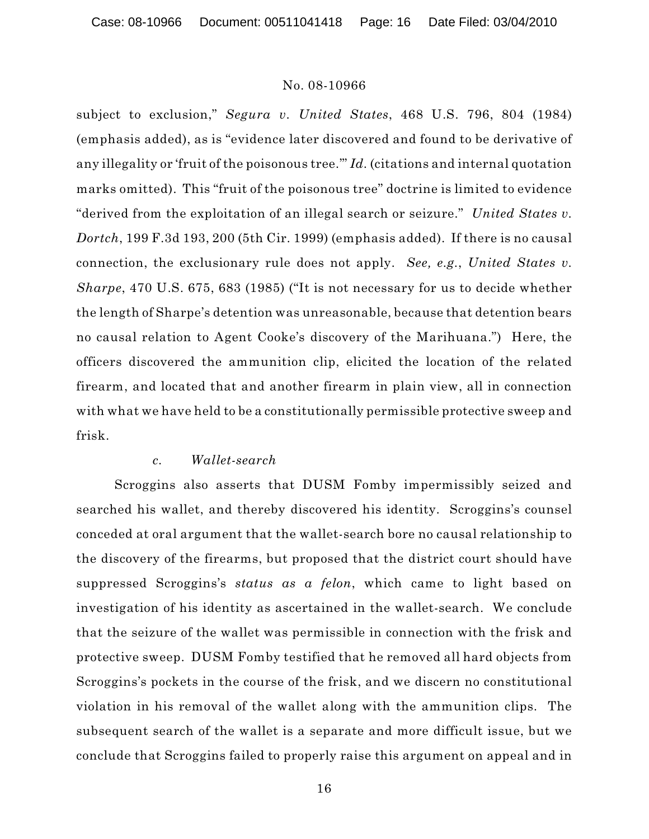subject to exclusion," *Segura v. United States*, 468 U.S. 796, 804 (1984) (emphasis added), as is "evidence later discovered and found to be derivative of any illegality or 'fruit of the poisonous tree.'" *Id.* (citations and internal quotation marks omitted). This "fruit of the poisonous tree" doctrine is limited to evidence "derived from the exploitation of an illegal search or seizure." *United States v. Dortch*, 199 F.3d 193, 200 (5th Cir. 1999) (emphasis added). If there is no causal connection, the exclusionary rule does not apply. *See, e.g.*, *United States v. Sharpe*, 470 U.S. 675, 683 (1985) ("It is not necessary for us to decide whether the length of Sharpe's detention was unreasonable, because that detention bears no causal relation to Agent Cooke's discovery of the Marihuana.") Here, the officers discovered the ammunition clip, elicited the location of the related firearm, and located that and another firearm in plain view, all in connection with what we have held to be a constitutionally permissible protective sweep and frisk.

### *c. Wallet-search*

Scroggins also asserts that DUSM Fomby impermissibly seized and searched his wallet, and thereby discovered his identity. Scroggins's counsel conceded at oral argument that the wallet-search bore no causal relationship to the discovery of the firearms, but proposed that the district court should have suppressed Scroggins's *status as a felon*, which came to light based on investigation of his identity as ascertained in the wallet-search. We conclude that the seizure of the wallet was permissible in connection with the frisk and protective sweep. DUSM Fomby testified that he removed all hard objects from Scroggins's pockets in the course of the frisk, and we discern no constitutional violation in his removal of the wallet along with the ammunition clips. The subsequent search of the wallet is a separate and more difficult issue, but we conclude that Scroggins failed to properly raise this argument on appeal and in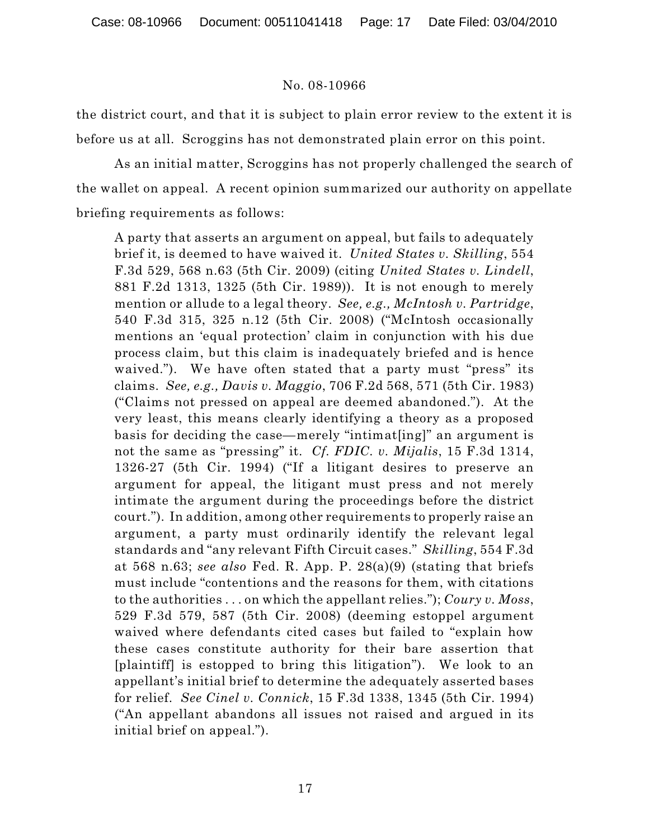the district court, and that it is subject to plain error review to the extent it is before us at all. Scroggins has not demonstrated plain error on this point.

As an initial matter, Scroggins has not properly challenged the search of the wallet on appeal. A recent opinion summarized our authority on appellate briefing requirements as follows:

A party that asserts an argument on appeal, but fails to adequately brief it, is deemed to have waived it. *United States v. Skilling*, 554 F.3d 529, 568 n.63 (5th Cir. 2009) (citing *United States v. Lindell*, 881 F.2d 1313, 1325 (5th Cir. 1989)). It is not enough to merely mention or allude to a legal theory. *See, e.g., McIntosh v. Partridge*, 540 F.3d 315, 325 n.12 (5th Cir. 2008) ("McIntosh occasionally mentions an 'equal protection' claim in conjunction with his due process claim, but this claim is inadequately briefed and is hence waived."). We have often stated that a party must "press" its claims. *See, e.g., Davis v. Maggio*, 706 F.2d 568, 571 (5th Cir. 1983) ("Claims not pressed on appeal are deemed abandoned."). At the very least, this means clearly identifying a theory as a proposed basis for deciding the case—merely "intimat[ing]" an argument is not the same as "pressing" it. *Cf. FDIC. v. Mijalis*, 15 F.3d 1314, 1326-27 (5th Cir. 1994) ("If a litigant desires to preserve an argument for appeal, the litigant must press and not merely intimate the argument during the proceedings before the district court."). In addition, among other requirements to properly raise an argument, a party must ordinarily identify the relevant legal standards and "any relevant Fifth Circuit cases." *Skilling*, 554 F.3d at 568 n.63; *see also* Fed. R. App. P. 28(a)(9) (stating that briefs must include "contentions and the reasons for them, with citations to the authorities . . . on which the appellant relies."); *Coury v. Moss*, 529 F.3d 579, 587 (5th Cir. 2008) (deeming estoppel argument waived where defendants cited cases but failed to "explain how these cases constitute authority for their bare assertion that [plaintiff] is estopped to bring this litigation"). We look to an appellant's initial brief to determine the adequately asserted bases for relief. *See Cinel v. Connick*, 15 F.3d 1338, 1345 (5th Cir. 1994) ("An appellant abandons all issues not raised and argued in its initial brief on appeal.").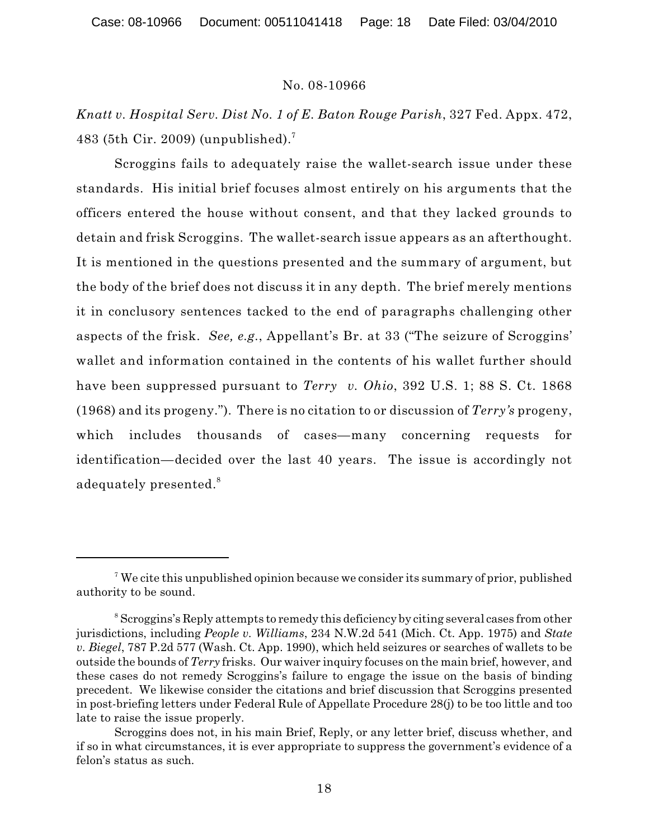*Knatt v. Hospital Serv. Dist No. 1 of E. Baton Rouge Parish*, 327 Fed. Appx. 472, 483 (5th Cir. 2009) (unpublished).<sup>7</sup>

Scroggins fails to adequately raise the wallet-search issue under these standards. His initial brief focuses almost entirely on his arguments that the officers entered the house without consent, and that they lacked grounds to detain and frisk Scroggins. The wallet-search issue appears as an afterthought. It is mentioned in the questions presented and the summary of argument, but the body of the brief does not discuss it in any depth. The brief merely mentions it in conclusory sentences tacked to the end of paragraphs challenging other aspects of the frisk. *See, e.g.*, Appellant's Br. at 33 ("The seizure of Scroggins' wallet and information contained in the contents of his wallet further should have been suppressed pursuant to *Terry v. Ohio*, 392 U.S. 1; 88 S. Ct. 1868 (1968) and its progeny."). There is no citation to or discussion of *Terry's* progeny, which includes thousands of cases—many concerning requests for identification—decided over the last 40 years. The issue is accordingly not adequately presented.<sup>8</sup>

<sup>&</sup>lt;sup>7</sup> We cite this unpublished opinion because we consider its summary of prior, published authority to be sound.

<sup>&</sup>lt;sup>8</sup> Scroggins's Reply attempts to remedy this deficiency by citing several cases from other jurisdictions, including *People v. Williams*, 234 N.W.2d 541 (Mich. Ct. App. 1975) and *State v. Biegel*, 787 P.2d 577 (Wash. Ct. App. 1990), which held seizures or searches of wallets to be outside the bounds of *Terry* frisks. Our waiver inquiry focuses on the main brief, however, and these cases do not remedy Scroggins's failure to engage the issue on the basis of binding precedent. We likewise consider the citations and brief discussion that Scroggins presented in post-briefing letters under Federal Rule of Appellate Procedure 28(j) to be too little and too late to raise the issue properly.

Scroggins does not, in his main Brief, Reply, or any letter brief, discuss whether, and if so in what circumstances, it is ever appropriate to suppress the government's evidence of a felon's status as such.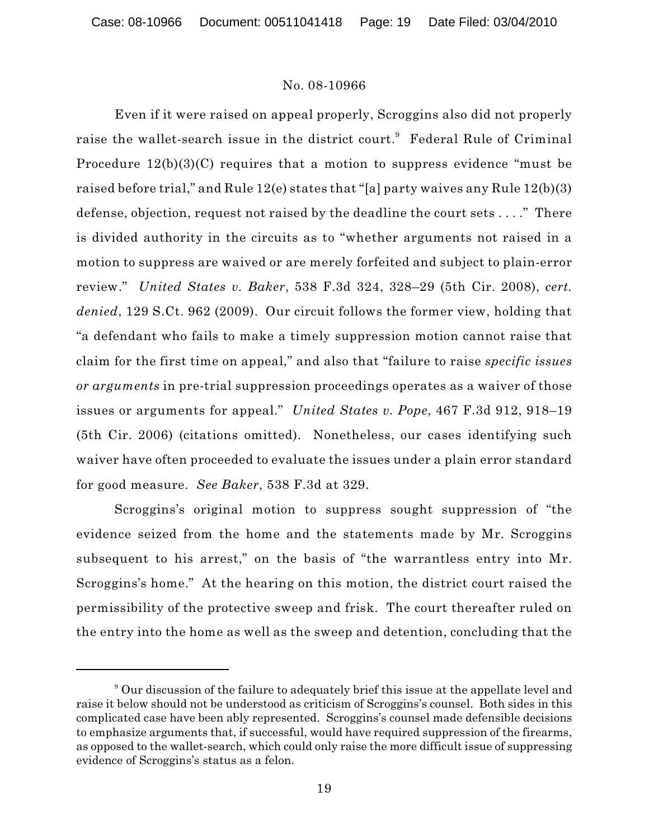Even if it were raised on appeal properly, Scroggins also did not properly raise the wallet-search issue in the district court.<sup>9</sup> Federal Rule of Criminal Procedure  $12(b)(3)(C)$  requires that a motion to suppress evidence "must be raised before trial," and Rule 12(e) states that "[a] party waives any Rule 12(b)(3) defense, objection, request not raised by the deadline the court sets . . . ." There is divided authority in the circuits as to "whether arguments not raised in a motion to suppress are waived or are merely forfeited and subject to plain-error review." *United States v. Baker*, 538 F.3d 324, 328–29 (5th Cir. 2008), *cert. denied*, 129 S.Ct. 962 (2009). Our circuit follows the former view, holding that "a defendant who fails to make a timely suppression motion cannot raise that claim for the first time on appeal," and also that "failure to raise *specific issues or arguments* in pre-trial suppression proceedings operates as a waiver of those issues or arguments for appeal." *United States v. Pope*, 467 F.3d 912, 918–19 (5th Cir. 2006) (citations omitted). Nonetheless, our cases identifying such waiver have often proceeded to evaluate the issues under a plain error standard for good measure. *See Baker*, 538 F.3d at 329.

Scroggins's original motion to suppress sought suppression of "the evidence seized from the home and the statements made by Mr. Scroggins subsequent to his arrest," on the basis of "the warrantless entry into Mr. Scroggins's home." At the hearing on this motion, the district court raised the permissibility of the protective sweep and frisk. The court thereafter ruled on the entry into the home as well as the sweep and detention, concluding that the

<sup>&</sup>lt;sup>9</sup> Our discussion of the failure to adequately brief this issue at the appellate level and raise it below should not be understood as criticism of Scroggins's counsel. Both sides in this complicated case have been ably represented. Scroggins's counsel made defensible decisions to emphasize arguments that, if successful, would have required suppression of the firearms, as opposed to the wallet-search, which could only raise the more difficult issue of suppressing evidence of Scroggins's status as a felon.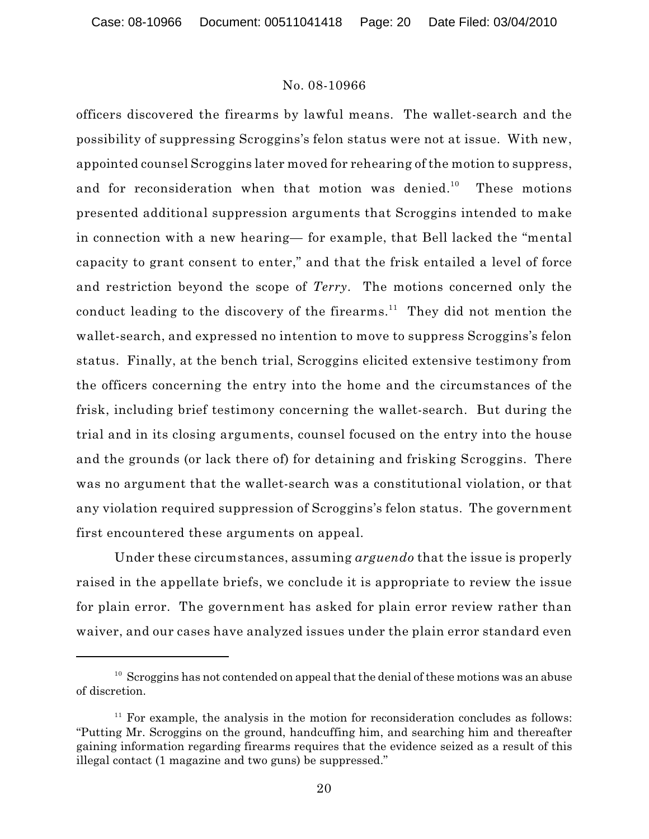officers discovered the firearms by lawful means. The wallet-search and the possibility of suppressing Scroggins's felon status were not at issue. With new, appointed counsel Scroggins later moved for rehearing of the motion to suppress, and for reconsideration when that motion was denied.<sup>10</sup> These motions presented additional suppression arguments that Scroggins intended to make in connection with a new hearing— for example, that Bell lacked the "mental capacity to grant consent to enter," and that the frisk entailed a level of force and restriction beyond the scope of *Terry*. The motions concerned only the conduct leading to the discovery of the firearms.<sup>11</sup> They did not mention the wallet-search, and expressed no intention to move to suppress Scroggins's felon status. Finally, at the bench trial, Scroggins elicited extensive testimony from the officers concerning the entry into the home and the circumstances of the frisk, including brief testimony concerning the wallet-search. But during the trial and in its closing arguments, counsel focused on the entry into the house and the grounds (or lack there of) for detaining and frisking Scroggins. There was no argument that the wallet-search was a constitutional violation, or that any violation required suppression of Scroggins's felon status. The government first encountered these arguments on appeal.

Under these circumstances, assuming *arguendo* that the issue is properly raised in the appellate briefs, we conclude it is appropriate to review the issue for plain error. The government has asked for plain error review rather than waiver, and our cases have analyzed issues under the plain error standard even

 $10<sup>10</sup>$  Scroggins has not contended on appeal that the denial of these motions was an abuse of discretion.

 $11$  For example, the analysis in the motion for reconsideration concludes as follows: "Putting Mr. Scroggins on the ground, handcuffing him, and searching him and thereafter gaining information regarding firearms requires that the evidence seized as a result of this illegal contact (1 magazine and two guns) be suppressed."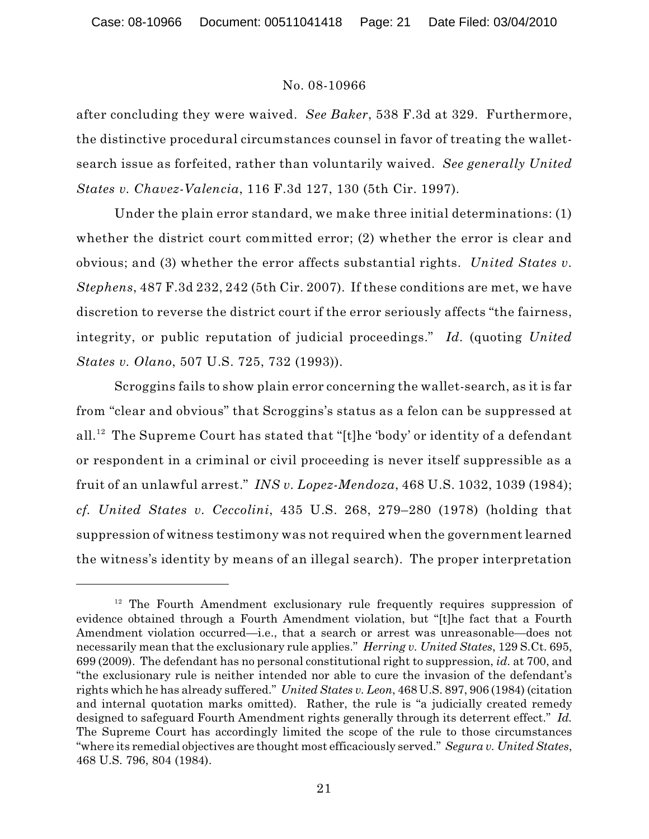after concluding they were waived. *See Baker*, 538 F.3d at 329. Furthermore, the distinctive procedural circumstances counsel in favor of treating the walletsearch issue as forfeited, rather than voluntarily waived. *See generally United States v. Chavez-Valencia*, 116 F.3d 127, 130 (5th Cir. 1997).

Under the plain error standard, we make three initial determinations: (1) whether the district court committed error; (2) whether the error is clear and obvious; and (3) whether the error affects substantial rights. *United States v. Stephens*, 487 F.3d 232, 242 (5th Cir. 2007). If these conditions are met, we have discretion to reverse the district court if the error seriously affects "the fairness, integrity, or public reputation of judicial proceedings." *Id.* (quoting *United States v. Olano*, 507 U.S. 725, 732 (1993)).

Scroggins fails to show plain error concerning the wallet-search, as it is far from "clear and obvious" that Scroggins's status as a felon can be suppressed at all.<sup>12</sup> The Supreme Court has stated that "[t]he 'body' or identity of a defendant or respondent in a criminal or civil proceeding is never itself suppressible as a fruit of an unlawful arrest." *INS v. Lopez-Mendoza*, 468 U.S. 1032, 1039 (1984); *cf. United States v. Ceccolini*, 435 U.S. 268, 279–280 (1978) (holding that suppression of witness testimony was not required when the government learned the witness's identity by means of an illegal search). The proper interpretation

 $12$  The Fourth Amendment exclusionary rule frequently requires suppression of evidence obtained through a Fourth Amendment violation, but "[t]he fact that a Fourth Amendment violation occurred—i.e., that a search or arrest was unreasonable—does not necessarily mean that the exclusionary rule applies." *Herring v. United States*, 129 S.Ct. 695, 699 (2009). The defendant has no personal constitutional right to suppression, *id.* at 700, and "the exclusionary rule is neither intended nor able to cure the invasion of the defendant's rights which he has already suffered." *United States v. Leon*, 468 U.S. 897, 906 (1984) (citation and internal quotation marks omitted). Rather, the rule is "a judicially created remedy designed to safeguard Fourth Amendment rights generally through its deterrent effect." *Id.* The Supreme Court has accordingly limited the scope of the rule to those circumstances "where its remedial objectives are thought most efficaciously served." *Segura v. United States*, 468 U.S. 796, 804 (1984).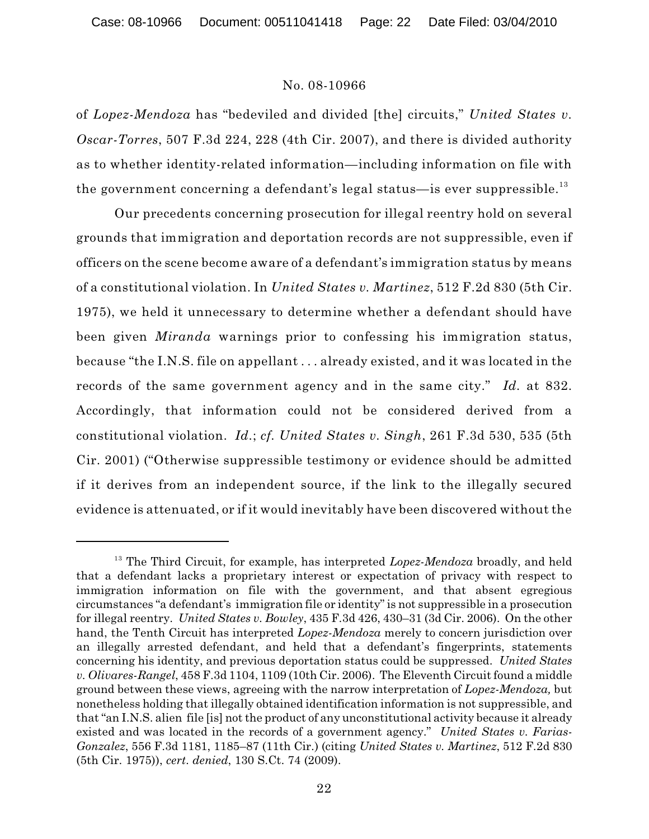of *Lopez-Mendoza* has "bedeviled and divided [the] circuits," *United States v. Oscar-Torres*, 507 F.3d 224, 228 (4th Cir. 2007), and there is divided authority as to whether identity-related information—including information on file with the government concerning a defendant's legal status—is ever suppressible.<sup>13</sup>

Our precedents concerning prosecution for illegal reentry hold on several grounds that immigration and deportation records are not suppressible, even if officers on the scene become aware of a defendant's immigration status by means of a constitutional violation. In *United States v. Martinez*, 512 F.2d 830 (5th Cir. 1975), we held it unnecessary to determine whether a defendant should have been given *Miranda* warnings prior to confessing his immigration status, because "the I.N.S. file on appellant . . . already existed, and it was located in the records of the same government agency and in the same city." *Id.* at 832. Accordingly, that information could not be considered derived from a constitutional violation. *Id.*; *cf. United States v. Singh*, 261 F.3d 530, 535 (5th Cir. 2001) ("Otherwise suppressible testimony or evidence should be admitted if it derives from an independent source, if the link to the illegally secured evidence is attenuated, or if it would inevitably have been discovered without the

<sup>&</sup>lt;sup>13</sup> The Third Circuit, for example, has interpreted *Lopez-Mendoza* broadly, and held that a defendant lacks a proprietary interest or expectation of privacy with respect to immigration information on file with the government, and that absent egregious circumstances "a defendant's immigration file or identity" is not suppressible in a prosecution for illegal reentry. *United States v. Bowley*, 435 F.3d 426, 430–31 (3d Cir. 2006). On the other hand, the Tenth Circuit has interpreted *Lopez-Mendoza* merely to concern jurisdiction over an illegally arrested defendant, and held that a defendant's fingerprints, statements concerning his identity, and previous deportation status could be suppressed. *United States v. Olivares-Rangel*, 458 F.3d 1104, 1109 (10th Cir. 2006). The Eleventh Circuit found a middle ground between these views, agreeing with the narrow interpretation of *Lopez-Mendoza,* but nonetheless holding that illegally obtained identification information is not suppressible, and that "an I.N.S. alien file [is] not the product of any unconstitutional activity because it already existed and was located in the records of a government agency." *United States v. Farias-Gonzalez*, 556 F.3d 1181, 1185–87 (11th Cir.) (citing *United States v. Martinez*, 512 F.2d 830 (5th Cir. 1975)), *cert*. *denied*, 130 S.Ct. 74 (2009).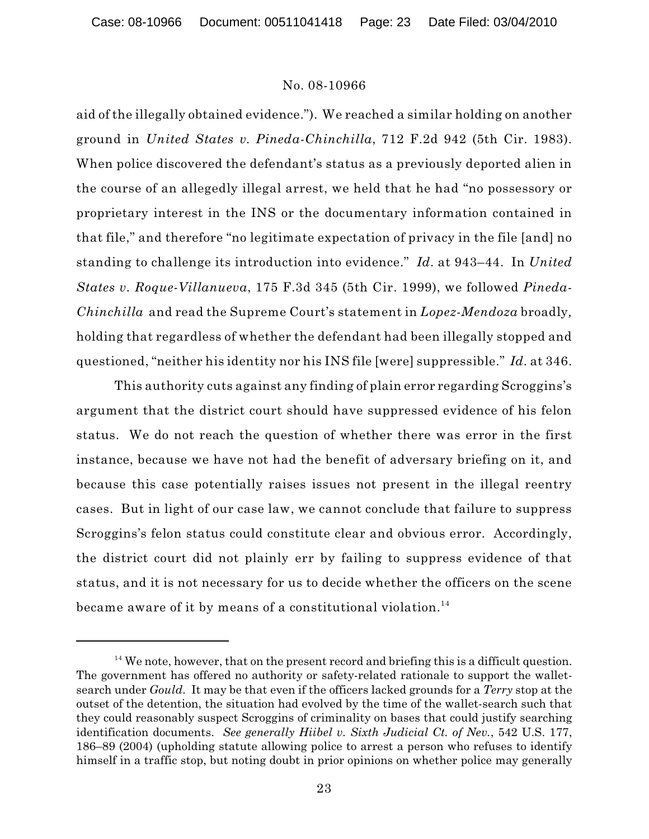aid of the illegally obtained evidence."). We reached a similar holding on another ground in *United States v. Pineda-Chinchilla*, 712 F.2d 942 (5th Cir. 1983). When police discovered the defendant's status as a previously deported alien in the course of an allegedly illegal arrest, we held that he had "no possessory or proprietary interest in the INS or the documentary information contained in that file," and therefore "no legitimate expectation of privacy in the file [and] no standing to challenge its introduction into evidence." *Id.* at 943–44. In *United States v. Roque-Villanueva*, 175 F.3d 345 (5th Cir. 1999), we followed *Pineda-Chinchilla* and read the Supreme Court's statement in *Lopez-Mendoza* broadly*,* holding that regardless of whether the defendant had been illegally stopped and questioned, "neither his identity nor his INS file [were] suppressible." *Id.* at 346.

This authority cuts against any finding of plain error regarding Scroggins's argument that the district court should have suppressed evidence of his felon status. We do not reach the question of whether there was error in the first instance, because we have not had the benefit of adversary briefing on it, and because this case potentially raises issues not present in the illegal reentry cases. But in light of our case law, we cannot conclude that failure to suppress Scroggins's felon status could constitute clear and obvious error. Accordingly, the district court did not plainly err by failing to suppress evidence of that status, and it is not necessary for us to decide whether the officers on the scene became aware of it by means of a constitutional violation.<sup>14</sup>

 $14$  We note, however, that on the present record and briefing this is a difficult question. The government has offered no authority or safety-related rationale to support the walletsearch under *Gould*. It may be that even if the officers lacked grounds for a *Terry* stop at the outset of the detention, the situation had evolved by the time of the wallet-search such that they could reasonably suspect Scroggins of criminality on bases that could justify searching identification documents. *See generally Hiibel v. Sixth Judicial Ct. of Nev.*, 542 U.S. 177, 186–89 (2004) (upholding statute allowing police to arrest a person who refuses to identify himself in a traffic stop, but noting doubt in prior opinions on whether police may generally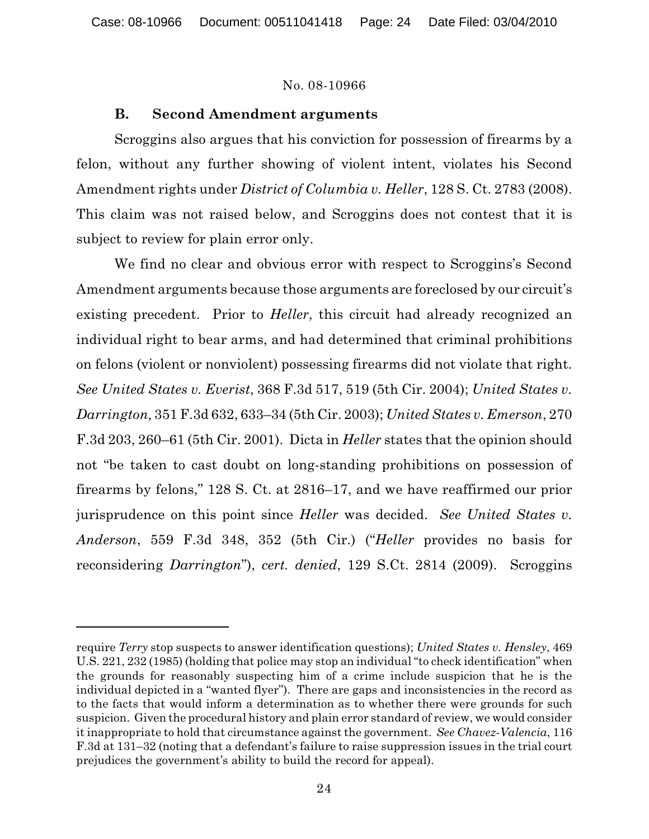# **B. Second Amendment arguments**

Scroggins also argues that his conviction for possession of firearms by a felon, without any further showing of violent intent, violates his Second Amendment rights under *District of Columbia v. Heller*, 128 S. Ct. 2783 (2008). This claim was not raised below, and Scroggins does not contest that it is subject to review for plain error only.

We find no clear and obvious error with respect to Scroggins's Second Amendment arguments because those arguments are foreclosed by our circuit's existing precedent. Prior to *Heller*, this circuit had already recognized an individual right to bear arms, and had determined that criminal prohibitions on felons (violent or nonviolent) possessing firearms did not violate that right. *See United States v. Everist*, 368 F.3d 517, 519 (5th Cir. 2004); *United States v. Darrington,* 351 F.3d 632, 633–34 (5th Cir. 2003); *United States v. Emerson*, 270 F.3d 203, 260–61 (5th Cir. 2001). Dicta in *Heller* states that the opinion should not "be taken to cast doubt on long-standing prohibitions on possession of firearms by felons," 128 S. Ct. at 2816–17, and we have reaffirmed our prior jurisprudence on this point since *Heller* was decided. *See United States v. Anderson*, 559 F.3d 348, 352 (5th Cir.) ("*Heller* provides no basis for reconsidering *Darrington*"), *cert. denied*, 129 S.Ct. 2814 (2009). Scroggins

require *Terry* stop suspects to answer identification questions); *United States v. Hensley*, 469 U.S. 221, 232 (1985) (holding that police may stop an individual "to check identification" when the grounds for reasonably suspecting him of a crime include suspicion that he is the individual depicted in a "wanted flyer"). There are gaps and inconsistencies in the record as to the facts that would inform a determination as to whether there were grounds for such suspicion. Given the procedural history and plain error standard of review, we would consider it inappropriate to hold that circumstance against the government. *See Chavez-Valencia*, 116 F.3d at 131–32 (noting that a defendant's failure to raise suppression issues in the trial court prejudices the government's ability to build the record for appeal).